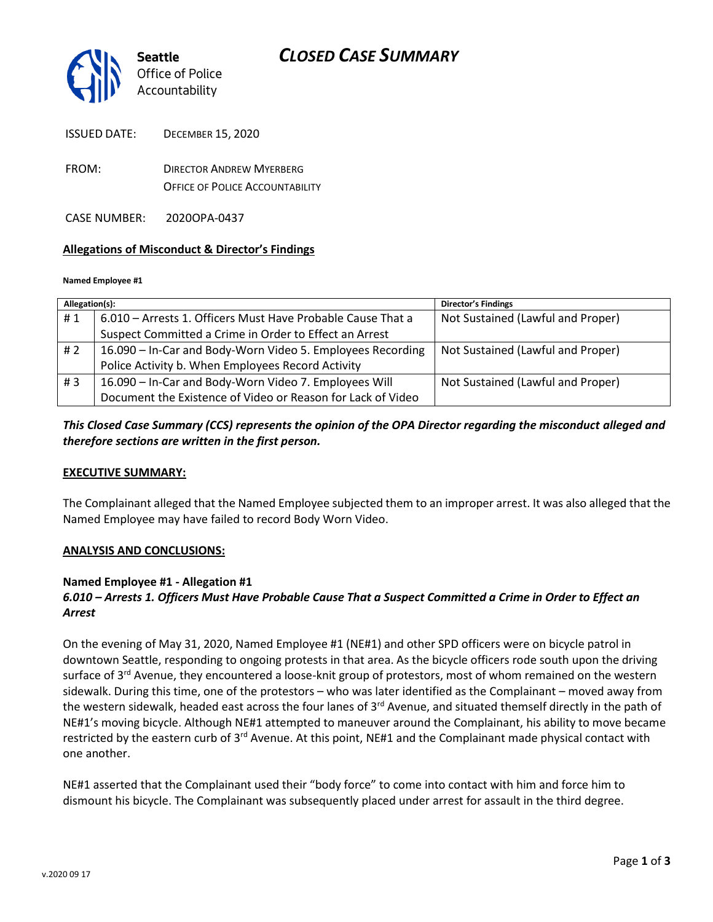

| <b>ISSUED DATE:</b> | <b>DECEMBER 15, 2020</b>        |
|---------------------|---------------------------------|
| FROM:               | <b>DIRECTOR ANDREW MYFRBERG</b> |

OFFICE OF POLICE ACCOUNTABILITY

CASE NUMBER: 2020OPA-0437

### **Allegations of Misconduct & Director's Findings**

#### **Named Employee #1**

| Allegation(s): |                                                             | Director's Findings               |
|----------------|-------------------------------------------------------------|-----------------------------------|
| #1             | 6.010 - Arrests 1. Officers Must Have Probable Cause That a | Not Sustained (Lawful and Proper) |
|                | Suspect Committed a Crime in Order to Effect an Arrest      |                                   |
| # 2            | 16.090 - In-Car and Body-Worn Video 5. Employees Recording  | Not Sustained (Lawful and Proper) |
|                | Police Activity b. When Employees Record Activity           |                                   |
| #3             | 16.090 - In-Car and Body-Worn Video 7. Employees Will       | Not Sustained (Lawful and Proper) |
|                | Document the Existence of Video or Reason for Lack of Video |                                   |

# *This Closed Case Summary (CCS) represents the opinion of the OPA Director regarding the misconduct alleged and therefore sections are written in the first person.*

### **EXECUTIVE SUMMARY:**

The Complainant alleged that the Named Employee subjected them to an improper arrest. It was also alleged that the Named Employee may have failed to record Body Worn Video.

### **ANALYSIS AND CONCLUSIONS:**

### **Named Employee #1 - Allegation #1**

# *6.010 – Arrests 1. Officers Must Have Probable Cause That a Suspect Committed a Crime in Order to Effect an Arrest*

On the evening of May 31, 2020, Named Employee #1 (NE#1) and other SPD officers were on bicycle patrol in downtown Seattle, responding to ongoing protests in that area. As the bicycle officers rode south upon the driving surface of 3<sup>rd</sup> Avenue, they encountered a loose-knit group of protestors, most of whom remained on the western sidewalk. During this time, one of the protestors – who was later identified as the Complainant – moved away from the western sidewalk, headed east across the four lanes of 3<sup>rd</sup> Avenue, and situated themself directly in the path of NE#1's moving bicycle. Although NE#1 attempted to maneuver around the Complainant, his ability to move became restricted by the eastern curb of 3<sup>rd</sup> Avenue. At this point, NE#1 and the Complainant made physical contact with one another.

NE#1 asserted that the Complainant used their "body force" to come into contact with him and force him to dismount his bicycle. The Complainant was subsequently placed under arrest for assault in the third degree.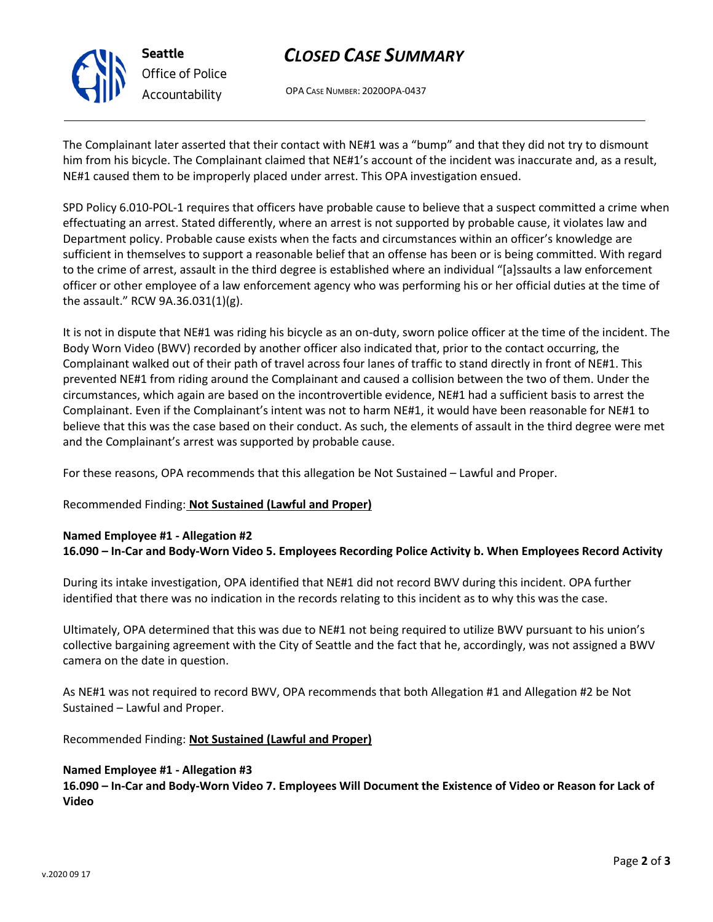

**Seattle** *Office of Police Accountability*

# *CLOSED CASE SUMMARY*

OPA CASE NUMBER: 2020OPA-0437

The Complainant later asserted that their contact with NE#1 was a "bump" and that they did not try to dismount him from his bicycle. The Complainant claimed that NE#1's account of the incident was inaccurate and, as a result, NE#1 caused them to be improperly placed under arrest. This OPA investigation ensued.

SPD Policy 6.010-POL-1 requires that officers have probable cause to believe that a suspect committed a crime when effectuating an arrest. Stated differently, where an arrest is not supported by probable cause, it violates law and Department policy. Probable cause exists when the facts and circumstances within an officer's knowledge are sufficient in themselves to support a reasonable belief that an offense has been or is being committed. With regard to the crime of arrest, assault in the third degree is established where an individual "[a]ssaults a law enforcement officer or other employee of a law enforcement agency who was performing his or her official duties at the time of the assault." RCW 9A.36.031(1)(g).

It is not in dispute that NE#1 was riding his bicycle as an on-duty, sworn police officer at the time of the incident. The Body Worn Video (BWV) recorded by another officer also indicated that, prior to the contact occurring, the Complainant walked out of their path of travel across four lanes of traffic to stand directly in front of NE#1. This prevented NE#1 from riding around the Complainant and caused a collision between the two of them. Under the circumstances, which again are based on the incontrovertible evidence, NE#1 had a sufficient basis to arrest the Complainant. Even if the Complainant's intent was not to harm NE#1, it would have been reasonable for NE#1 to believe that this was the case based on their conduct. As such, the elements of assault in the third degree were met and the Complainant's arrest was supported by probable cause.

For these reasons, OPA recommends that this allegation be Not Sustained – Lawful and Proper.

# Recommended Finding: **Not Sustained (Lawful and Proper)**

# **Named Employee #1 - Allegation #2**

**16.090 – In-Car and Body-Worn Video 5. Employees Recording Police Activity b. When Employees Record Activity**

During its intake investigation, OPA identified that NE#1 did not record BWV during this incident. OPA further identified that there was no indication in the records relating to this incident as to why this was the case.

Ultimately, OPA determined that this was due to NE#1 not being required to utilize BWV pursuant to his union's collective bargaining agreement with the City of Seattle and the fact that he, accordingly, was not assigned a BWV camera on the date in question.

As NE#1 was not required to record BWV, OPA recommends that both Allegation #1 and Allegation #2 be Not Sustained – Lawful and Proper.

Recommended Finding: **Not Sustained (Lawful and Proper)**

### **Named Employee #1 - Allegation #3**

**16.090 – In-Car and Body-Worn Video 7. Employees Will Document the Existence of Video or Reason for Lack of Video**